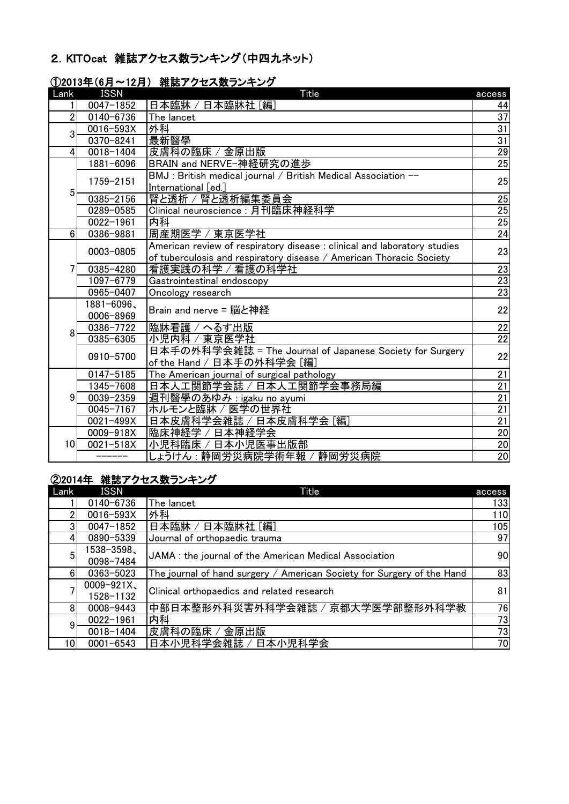### 2.KITOcat 雑誌アクセス数ランキング(中四九ネット)

| Lank            | <b>ISSN</b>             | Title                                                                                                                                           | access          |
|-----------------|-------------------------|-------------------------------------------------------------------------------------------------------------------------------------------------|-----------------|
|                 | $0047 - 1852$           | 日本臨牀 / 日本臨牀社 [編]                                                                                                                                | 44              |
| $\overline{2}$  | 0140-6736               | The lancet                                                                                                                                      | 37              |
| 3               | 0016-593X               | 外科                                                                                                                                              | 31              |
|                 | 0370-8241               | 最新醫學                                                                                                                                            | 31              |
| $\frac{4}{ }$   | 0018-1404               | 皮膚科の臨床 / 金原出版                                                                                                                                   | 29              |
|                 | 1881-6096               | BRAIN and NERVE-神経研究の進歩                                                                                                                         | $\overline{25}$ |
|                 | 1759-2151               | BMJ : British medical journal / British Medical Association --<br>International [ed.]                                                           | 25              |
| 5               | 0385-2156               | 腎と透析 / 腎と透析編集委員会                                                                                                                                | 25              |
|                 | 0289-0585               | Clinical neuroscience: 月刊臨床神経科学                                                                                                                 | $\overline{25}$ |
|                 | $0022 - 1961$           | 内科                                                                                                                                              | 25              |
| $6 \,$          | 0386-9881               | 周産期医学 / 東京医学社                                                                                                                                   | 24              |
|                 | 0003-0805               | American review of respiratory disease : clinical and laboratory studies<br>of tuberculosis and respiratory disease / American Thoracic Society | 23              |
| 71              | 0385-4280               | 看護実践の科学 / 看護の科学社                                                                                                                                | <b>23</b>       |
|                 | 1097-6779               | Gastrointestinal endoscopy                                                                                                                      | $\overline{23}$ |
|                 | 0965-0407               | Oncology research                                                                                                                               | 23              |
|                 | 1881-6096、<br>0006-8969 | Brain and nerve = 脳と神経                                                                                                                          | 22              |
|                 | 0386-7722               | 臨牀看護 / へるす出版                                                                                                                                    | 22              |
| 8               | 0385-6305               | 小児内科 / 東京医学社                                                                                                                                    | $\overline{22}$ |
|                 | 0910-5700               | 日本手の外科学会雑誌 = The Journal of Japanese Society for Surgery<br>of the Hand / 日本手の外科学会 [編]                                                          | 22              |
|                 | $0147 - 5185$           | The American journal of surgical pathology                                                                                                      | 21              |
|                 | 1345-7608               | 日本人工関節学会誌 / 日本人工関節学会事務局編                                                                                                                        | $\overline{21}$ |
| 9               | 0039-2359               | 週刊醫學のあゆみ:igaku no ayumi                                                                                                                         | 21              |
|                 | 0045-7167               | ホルモンと臨牀 / 医学の世界社                                                                                                                                | $\overline{21}$ |
|                 | 0021-499X               | 日本皮膚科学会雑誌 / 日本皮膚科学会 [編]                                                                                                                         | 21              |
|                 | 0009-918X               | 臨床神経学 / 日本神経学会                                                                                                                                  | 20              |
| 10 <sup>1</sup> | 0021-518X               | 小児科臨床 / 日本小児医事出版部                                                                                                                               | $\frac{20}{20}$ |
|                 |                         | しょうけん : 静岡労災病院学術年報 / 静岡労災病院                                                                                                                     |                 |

## ①2013年(6月~12月) 雑誌アクセス数ランキング

# ②2014年 雑誌アクセス数ランキング

| Lank | <b>ISSN</b>                | Title                                                                  | access |
|------|----------------------------|------------------------------------------------------------------------|--------|
|      | 0140-6736                  | The lancet                                                             | 133    |
|      | 0016-593X                  | 外科                                                                     | 110    |
|      | $0047 - 1852$              | ′ 日本臨牀社 [編]<br>日本臨牀 /                                                  | 105    |
|      | 0890-5339                  | Journal of orthopaedic trauma                                          | 97     |
| 5    | 1538-3598、<br>0098-7484    | JAMA: the journal of the American Medical Association                  | 90     |
| 61   | 0363-5023                  | The journal of hand surgery / American Society for Surgery of the Hand | 83     |
|      | $0009 - 921X$<br>1528-1132 | Clinical orthopaedics and related research                             | 81     |
| 8    | 0008-9443                  | 中部日本整形外科災害外科学会雑誌 / 京都大学医学部整形外科学教                                       | 76     |
| 9    | $0022 - 1961$              | 内科                                                                     | 73     |
|      | 0018-1404                  | 皮膚科の臨床<br>金原出版                                                         | 73     |
| 10   | $0001 - 6543$              | 日本小児科学会雑誌 /<br>日本小児科学会                                                 | 70     |